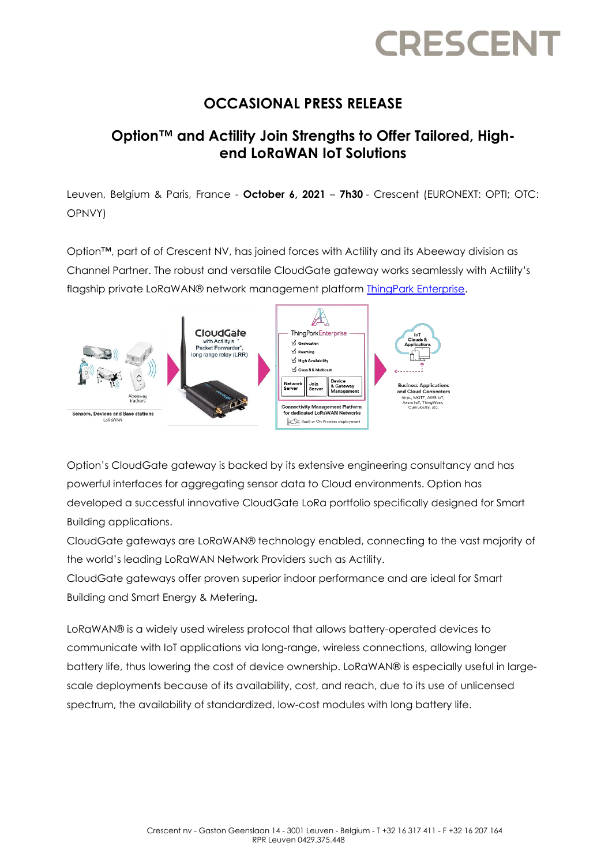# **CRESCEN**

## **OCCASIONAL PRESS RELEASE**

## **Option™ and Actility Join Strengths to Offer Tailored, Highend LoRaWAN IoT Solutions**

Leuven, Belgium & Paris, France - **October 6, 2021** – **7h30** - Crescent (EURONEXT: OPTI; OTC: OPNVY)

Option™, part of of Crescent NV, has joined forces with Actility and its Abeeway division as Channel Partner. The robust and versatile CloudGate gateway works seamlessly with Actility's flagship private LoRaWAN® network management platform [ThingPark Enterprise.](https://www.actility.com/enterprise-iot-connectivity-solutions/)



Option's CloudGate gateway is backed by its extensive engineering consultancy and has powerful interfaces for aggregating sensor data to Cloud environments. Option has developed a successful innovative CloudGate LoRa portfolio specifically designed for Smart Building applications.

CloudGate gateways are LoRaWAN® technology enabled, connecting to the vast majority of the world's leading LoRaWAN Network Providers such as Actility.

CloudGate gateways offer proven superior indoor performance and are ideal for Smart Building and Smart Energy & Metering**.** 

LoRaWAN® is a widely used wireless protocol that allows battery-operated devices to communicate with IoT applications via long-range, wireless connections, allowing longer battery life, thus lowering the cost of device ownership. LoRaWAN® is especially useful in largescale deployments because of its availability, cost, and reach, due to its use of unlicensed spectrum, the availability of standardized, low-cost modules with long battery life.